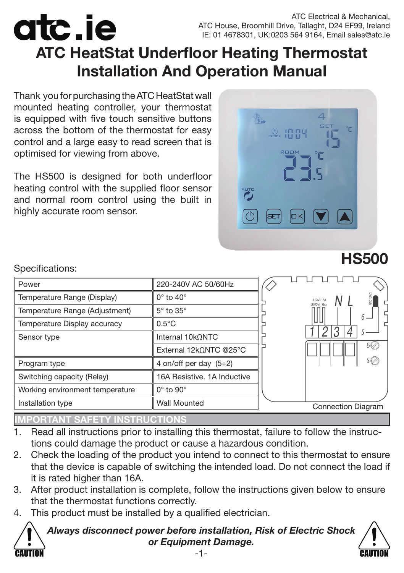ATC Electrical & Mechanical, ATC House, Broomhill Drive, Tallaght, D24 EF99, Ireland IE: 01 4678301, UK:0203 564 9164, Email sales@atc.ie

# **ATC HeatStat Underfloor Heating Thermostat Installation And Operation Manual**

Thank you for purchasing the ATC HeatStat wall mounted heating controller, your thermostat is equipped with five touch sensitive buttons across the bottom of the thermostat for easy control and a large easy to read screen that is optimised for viewing from above.

The HS500 is designed for both underfloor heating control with the supplied floor sensor and normal room control using the built in highly accurate room sensor.



| Power                           | 220-240V AC 50/60Hz         |                           |
|---------------------------------|-----------------------------|---------------------------|
| Temperature Range (Display)     | $0^\circ$ to $40^\circ$     | LOAD 16A<br>(3600w) Max   |
| Temperature Range (Adjustment)  | $5^\circ$ to $35^\circ$     | 6 –                       |
| Temperature Display accuracy    | $0.5^{\circ}$ C             | n                         |
| Sensor type                     | Internal $10k$ $\Omega$ NTC |                           |
|                                 | External 12kΩNTC @25°C      | 6 <i>V</i>                |
| Program type                    | 4 on/off per day $(5+2)$    |                           |
| Switching capacity (Relay)      | 16A Resistive, 1A Inductive |                           |
| Working environment temperature | $0^\circ$ to $90^\circ$     |                           |
| Installation type               | <b>Wall Mounted</b>         | <b>Connection Diagram</b> |
|                                 |                             |                           |

#### Specifications:

atc.ie

CAUTION

## **IMPORTANT SAFETY INSTRUCTIONS**

- 1. Read all instructions prior to installing this thermostat, failure to follow the instructions could damage the product or cause a hazardous condition.
- 2. Check the loading of the product you intend to connect to this thermostat to ensure that the device is capable of switching the intended load. Do not connect the load if it is rated higher than 16A.
- 3. After product installation is complete, follow the instructions given below to ensure that the thermostat functions correctly.
- 4. This product must be installed by a qualified electrician.

*Always disconnect power before installation, Risk of Electric Shock or Equipment Damage.*



**HS500**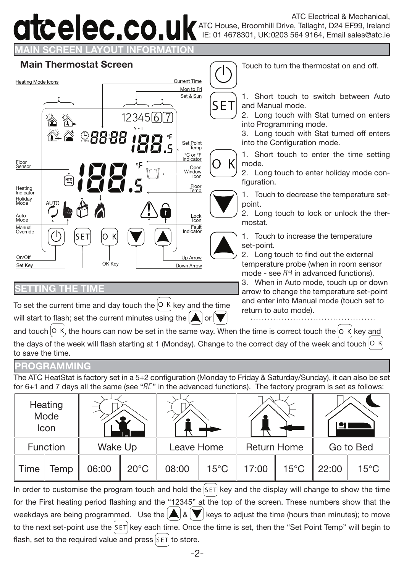# atcelec.co.ul

**MAIN SCREEN LAYOUT INFORMATION**



To set the current time and day touch the  $\overline{R}$  Key and the time will start to flash; set the current minutes using the  $\Delta$  or

**Main Thermostat Screen** Touch to turn the thermostat on and off.

1. Short touch to switch between Auto and Manual mode.

2. Long touch with Stat turned on enters into Programming mode.

3. Long touch with Stat turned off enters into the Configuration mode.

1. Short touch to enter the time setting mode.

2. Long touch to enter holiday mode configuration.

1. Touch to decrease the temperature setpoint.

2. Long touch to lock or unlock the thermostat.

1. Touch to increase the temperature set-point.

2. Long touch to find out the external temperature probe (when in room sensor mode - see  $\overline{B}$  in advanced functions).

3. When in Auto mode, touch up or down arrow to change the temperature set-point and enter into Manual mode (touch set to return to auto mode).

and touch  $\vert$  o K, the hours can now be set in the same way. When the time is correct touch the  $\vert$  o K key and the days of the week will flash starting at 1 (Monday). Change to the correct day of the week and touch  $|0, K|$ to save the time.

#### **PROGRAMMING**

**G THE TIM** 

The ATC HeatStat is factory set in a 5+2 configuration (Monday to Friday & Saturday/Sunday), it can also be set for 6+1 and 7 days all the same (see " $R^r$ " in the advanced functions). The factory program is set as follows:

|      | Heating<br>Mode<br>Icon |         | Ŧ,             |       |                                  |       |                |           |                |
|------|-------------------------|---------|----------------|-------|----------------------------------|-------|----------------|-----------|----------------|
|      | Function                | Wake Up |                |       | <b>Return Home</b><br>Leave Home |       |                | Go to Bed |                |
| Time | Temp                    | 06:00   | $20^{\circ}$ C | 08:00 | $15^{\circ}$ C                   | 17:00 | $15^{\circ}$ C | 22:00     | $15^{\circ}$ C |

In order to customise the program touch and hold the  $[SET]$  key and the display will change to show the time for the First heating period flashing and the "12345" at the top of the screen. These numbers show that the weekdays are being programmed. Use the  $\bigwedge_{k=1}^{\infty} \mathcal{R}$  keys to adjust the time (hours then minutes); to move to the next set-point use the  $\frac{1}{s}E\tau$  key each time. Once the time is set, then the "Set Point Temp" will begin to flash, set to the required value and press  $\frac{1}{5}$  to store.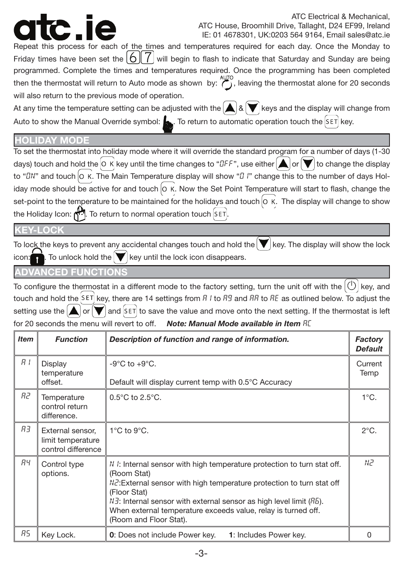ATC Electrical & Mechanical, ATC House, Broomhill Drive, Tallaght, D24 EF99, Ireland IE: 01 4678301, UK:0203 564 9164, Email sales@atc.ie

Repeat this process for each of the times and temperatures required for each day. Once the Monday to Friday times have been set the  $|6||/|$  will begin to flash to indicate that Saturday and Sunday are being programmed. Complete the times and temperatures required. Once the programming has been completed then the thermostat will return to Auto mode as shown by:  $\ddot{?}$ , leaving the thermostat alone for 20 seconds will also return to the previous mode of operation.

At any time the temperature setting can be adjusted with the  $\bigwedge_{k} \{x \mid k\}$  keys and the display will change from Auto to show the Manual Override symbol:  $\bullet$ . To return to automatic operation touch the SET key.

#### **HOLIDAY MODE**

To set the thermostat into holiday mode where it will override the standard program for a number of days (1-30 days) touch and hold the  $\circ$  K key until the time changes to " $dF$ ", use either  $\bullet$  or  $\bullet$  to change the display to " $\Omega$ " and touch  $\Omega$  K. The Main Temperature display will show " $\Omega$  i" change this to the number of days Holiday mode should be active for and touch  $|0 \kappa|$ . Now the Set Point Temperature will start to flash, change the set-point to the temperature to be maintained for the holidays and touch  $|0 \kappa|$ . The display will change to show the Holiday Icon: ... To return to normal operation touch SET.

#### **KOC**

To lock the keys to prevent any accidental changes touch and hold the  $\blacktriangledown$  key. The display will show the lock To unlock hold the  $\blacktriangledown$  key until the lock icon disappears.

### **ADVANCED FUNCTIONS**

To configure the thermostat in a different mode to the factory setting, turn the unit off with the  $|0\rangle$  key, and touch and hold the SET key, there are 14 settings from  $R/1$  to  $RB$  and  $RR$  to  $RE$  as outlined below. To adjust the setting use the  $\bigtriangleup$  or  $\bigvee$  and  $\bigcirc$  is ave the value and move onto the next setting. If the thermostat is left for 20 seconds the menu will revert to off. **Note: Manual Mode available in Item** RE

| <b>Item</b>                                         | <b>Function</b>                                             | Description of function and range of information.                                                                                                                                                                                                                                                                                                                             | Factory<br><b>Default</b> |
|-----------------------------------------------------|-------------------------------------------------------------|-------------------------------------------------------------------------------------------------------------------------------------------------------------------------------------------------------------------------------------------------------------------------------------------------------------------------------------------------------------------------------|---------------------------|
| R I                                                 | Display<br>temperature<br>offset.                           | $-9^{\circ}$ C to $+9^{\circ}$ C.<br>Default will display current temp with 0.5°C Accuracy                                                                                                                                                                                                                                                                                    |                           |
| R2.<br>Temperature<br>control return<br>difference. |                                                             | $0.5^{\circ}$ C to $2.5^{\circ}$ C.                                                                                                                                                                                                                                                                                                                                           | $1^{\circ}$ C.            |
| RЗ                                                  | External sensor,<br>limit temperature<br>control difference | $1^{\circ}$ C to $9^{\circ}$ C.                                                                                                                                                                                                                                                                                                                                               |                           |
| ЯЧ                                                  | Control type<br>options.                                    | $N$ : Internal sensor with high temperature protection to turn stat off.<br>(Room Stat)<br>$N\bar{c}$ : External sensor with high temperature protection to turn stat off<br>(Floor Stat)<br>$N\bar{d}$ : Internal sensor with external sensor as high level limit ( $R\bar{b}$ ).<br>When external temperature exceeds value, relay is turned off.<br>(Room and Floor Stat). | N2.                       |
| R5                                                  | Key Lock.                                                   | <b>0</b> : Does not include Power key.<br>1: Includes Power key.                                                                                                                                                                                                                                                                                                              | U                         |